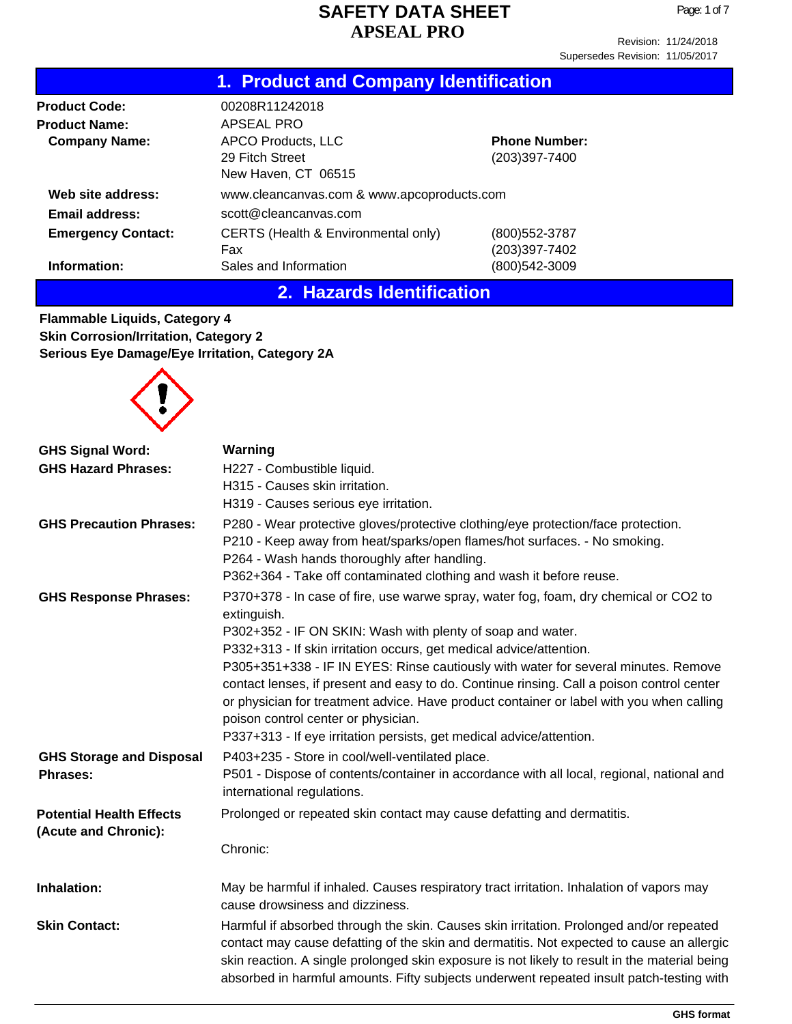Page: 1 of 7

Supersedes Revision: 11/05/2017

|                           | 1. Product and Company Identification                        |                                       |  |  |
|---------------------------|--------------------------------------------------------------|---------------------------------------|--|--|
| <b>Product Code:</b>      | 00208R11242018                                               |                                       |  |  |
| <b>Product Name:</b>      | APSEAL PRO                                                   |                                       |  |  |
| <b>Company Name:</b>      | APCO Products, LLC<br>29 Fitch Street<br>New Haven, CT 06515 | <b>Phone Number:</b><br>(203)397-7400 |  |  |
| Web site address:         | www.cleancanvas.com & www.apcoproducts.com                   |                                       |  |  |
| Email address:            | scott@cleancanvas.com                                        |                                       |  |  |
| <b>Emergency Contact:</b> | CERTS (Health & Environmental only)<br>Fax                   | (800)552-3787<br>(203)397-7402        |  |  |
| Information:              | Sales and Information                                        | (800)542-3009                         |  |  |

# **2. Hazards Identification**

**Flammable Liquids, Category 4 Skin Corrosion/Irritation, Category 2 Serious Eye Damage/Eye Irritation, Category 2A**



| <b>GHS Signal Word:</b>                                 | Warning                                                                                                                                                                                                                                                                                                                                                                                                                                                                                                                                                                                                                                |
|---------------------------------------------------------|----------------------------------------------------------------------------------------------------------------------------------------------------------------------------------------------------------------------------------------------------------------------------------------------------------------------------------------------------------------------------------------------------------------------------------------------------------------------------------------------------------------------------------------------------------------------------------------------------------------------------------------|
| <b>GHS Hazard Phrases:</b>                              | H227 - Combustible liquid.                                                                                                                                                                                                                                                                                                                                                                                                                                                                                                                                                                                                             |
|                                                         | H315 - Causes skin irritation.                                                                                                                                                                                                                                                                                                                                                                                                                                                                                                                                                                                                         |
|                                                         | H319 - Causes serious eye irritation.                                                                                                                                                                                                                                                                                                                                                                                                                                                                                                                                                                                                  |
| <b>GHS Precaution Phrases:</b>                          | P280 - Wear protective gloves/protective clothing/eye protection/face protection.<br>P210 - Keep away from heat/sparks/open flames/hot surfaces. - No smoking.<br>P264 - Wash hands thoroughly after handling.<br>P362+364 - Take off contaminated clothing and wash it before reuse.                                                                                                                                                                                                                                                                                                                                                  |
| <b>GHS Response Phrases:</b>                            | P370+378 - In case of fire, use warwe spray, water fog, foam, dry chemical or CO2 to<br>extinguish.<br>P302+352 - IF ON SKIN: Wash with plenty of soap and water.<br>P332+313 - If skin irritation occurs, get medical advice/attention.<br>P305+351+338 - IF IN EYES: Rinse cautiously with water for several minutes. Remove<br>contact lenses, if present and easy to do. Continue rinsing. Call a poison control center<br>or physician for treatment advice. Have product container or label with you when calling<br>poison control center or physician.<br>P337+313 - If eye irritation persists, get medical advice/attention. |
| <b>GHS Storage and Disposal</b><br><b>Phrases:</b>      | P403+235 - Store in cool/well-ventilated place.<br>P501 - Dispose of contents/container in accordance with all local, regional, national and<br>international regulations.                                                                                                                                                                                                                                                                                                                                                                                                                                                             |
| <b>Potential Health Effects</b><br>(Acute and Chronic): | Prolonged or repeated skin contact may cause defatting and dermatitis.<br>Chronic:                                                                                                                                                                                                                                                                                                                                                                                                                                                                                                                                                     |
| Inhalation:                                             | May be harmful if inhaled. Causes respiratory tract irritation. Inhalation of vapors may<br>cause drowsiness and dizziness.                                                                                                                                                                                                                                                                                                                                                                                                                                                                                                            |
| <b>Skin Contact:</b>                                    | Harmful if absorbed through the skin. Causes skin irritation. Prolonged and/or repeated<br>contact may cause defatting of the skin and dermatitis. Not expected to cause an allergic<br>skin reaction. A single prolonged skin exposure is not likely to result in the material being<br>absorbed in harmful amounts. Fifty subjects underwent repeated insult patch-testing with                                                                                                                                                                                                                                                      |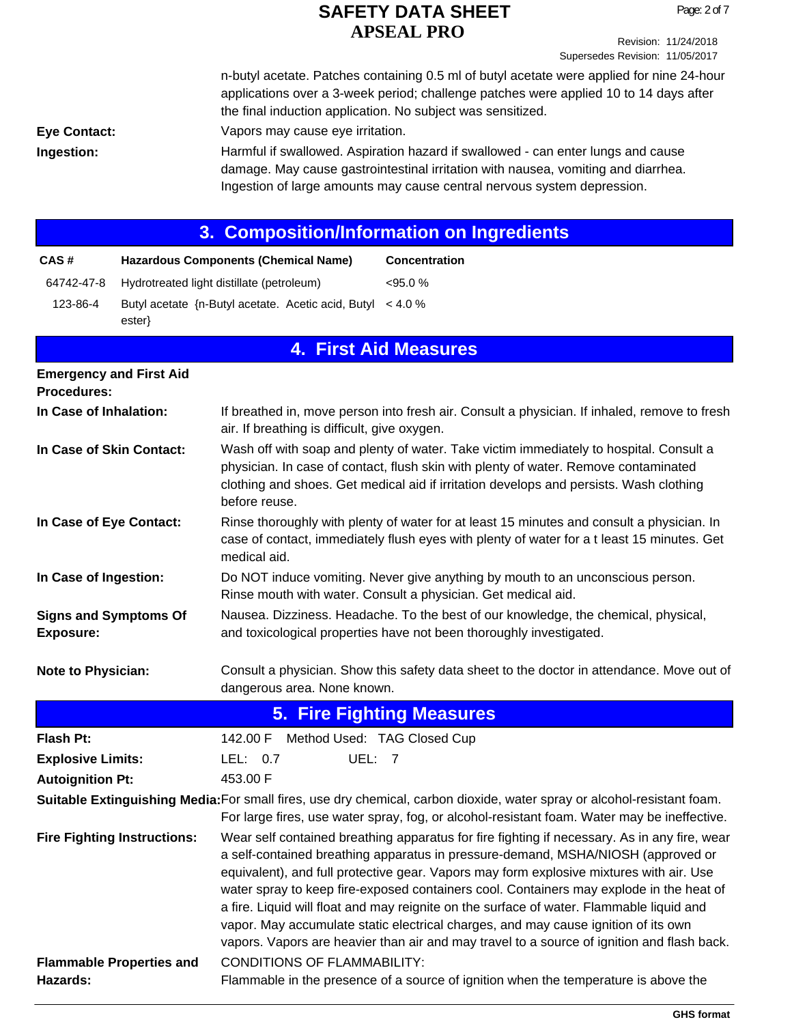Revision: 11/24/2018 Supersedes Revision: 11/05/2017

**Eye Contact:** Vapors may cause eye irritation. n-butyl acetate. Patches containing 0.5 ml of butyl acetate were applied for nine 24-hour applications over a 3-week period; challenge patches were applied 10 to 14 days after the final induction application. No subject was sensitized. Harmful if swallowed. Aspiration hazard if swallowed - can enter lungs and cause damage. May cause gastrointestinal irritation with nausea, vomiting and diarrhea. Ingestion of large amounts may cause central nervous system depression.

# **3. Composition/Information on Ingredients**

| CAS#     | <b>Hazardous Components (Chemical Name)</b>                               | <b>Concentration</b> |
|----------|---------------------------------------------------------------------------|----------------------|
|          | 64742-47-8 Hydrotreated light distillate (petroleum)                      | $<95.0\%$            |
| 123-86-4 | Butyl acetate $\{n$ -Butyl acetate. Acetic acid, Butyl < 4.0 %<br>ester } |                      |

**Ingestion:**

|                                                  | <b>4. First Aid Measures</b>                                                                                                                                                                                                                                                                                                                                                                                                                                                                                                                                                                                                                           |
|--------------------------------------------------|--------------------------------------------------------------------------------------------------------------------------------------------------------------------------------------------------------------------------------------------------------------------------------------------------------------------------------------------------------------------------------------------------------------------------------------------------------------------------------------------------------------------------------------------------------------------------------------------------------------------------------------------------------|
| <b>Emergency and First Aid</b><br>Procedures:    |                                                                                                                                                                                                                                                                                                                                                                                                                                                                                                                                                                                                                                                        |
| In Case of Inhalation:                           | If breathed in, move person into fresh air. Consult a physician. If inhaled, remove to fresh<br>air. If breathing is difficult, give oxygen.                                                                                                                                                                                                                                                                                                                                                                                                                                                                                                           |
| In Case of Skin Contact:                         | Wash off with soap and plenty of water. Take victim immediately to hospital. Consult a<br>physician. In case of contact, flush skin with plenty of water. Remove contaminated<br>clothing and shoes. Get medical aid if irritation develops and persists. Wash clothing<br>before reuse.                                                                                                                                                                                                                                                                                                                                                               |
| In Case of Eye Contact:                          | Rinse thoroughly with plenty of water for at least 15 minutes and consult a physician. In<br>case of contact, immediately flush eyes with plenty of water for a t least 15 minutes. Get<br>medical aid.                                                                                                                                                                                                                                                                                                                                                                                                                                                |
| In Case of Ingestion:                            | Do NOT induce vomiting. Never give anything by mouth to an unconscious person.<br>Rinse mouth with water. Consult a physician. Get medical aid.                                                                                                                                                                                                                                                                                                                                                                                                                                                                                                        |
| <b>Signs and Symptoms Of</b><br><b>Exposure:</b> | Nausea. Dizziness. Headache. To the best of our knowledge, the chemical, physical,<br>and toxicological properties have not been thoroughly investigated.                                                                                                                                                                                                                                                                                                                                                                                                                                                                                              |
| Note to Physician:                               | Consult a physician. Show this safety data sheet to the doctor in attendance. Move out of<br>dangerous area. None known.                                                                                                                                                                                                                                                                                                                                                                                                                                                                                                                               |
|                                                  | 5. Fire Fighting Measures                                                                                                                                                                                                                                                                                                                                                                                                                                                                                                                                                                                                                              |
| <b>Flash Pt:</b>                                 | 142.00 F Method Used: TAG Closed Cup                                                                                                                                                                                                                                                                                                                                                                                                                                                                                                                                                                                                                   |
| <b>Explosive Limits:</b>                         | UEL: 7<br>LEL: $0.7$                                                                                                                                                                                                                                                                                                                                                                                                                                                                                                                                                                                                                                   |
| <b>Autoignition Pt:</b>                          | 453.00 F                                                                                                                                                                                                                                                                                                                                                                                                                                                                                                                                                                                                                                               |
|                                                  | Suitable Extinguishing Media: For small fires, use dry chemical, carbon dioxide, water spray or alcohol-resistant foam.<br>For large fires, use water spray, fog, or alcohol-resistant foam. Water may be ineffective.                                                                                                                                                                                                                                                                                                                                                                                                                                 |
| <b>Fire Fighting Instructions:</b>               | Wear self contained breathing apparatus for fire fighting if necessary. As in any fire, wear<br>a self-contained breathing apparatus in pressure-demand, MSHA/NIOSH (approved or<br>equivalent), and full protective gear. Vapors may form explosive mixtures with air. Use<br>water spray to keep fire-exposed containers cool. Containers may explode in the heat of<br>a fire. Liquid will float and may reignite on the surface of water. Flammable liquid and<br>vapor. May accumulate static electrical charges, and may cause ignition of its own<br>vapors. Vapors are heavier than air and may travel to a source of ignition and flash back. |

CONDITIONS OF FLAMMABILITY:

**Flammable Properties and**

**Hazards:**

Flammable in the presence of a source of ignition when the temperature is above the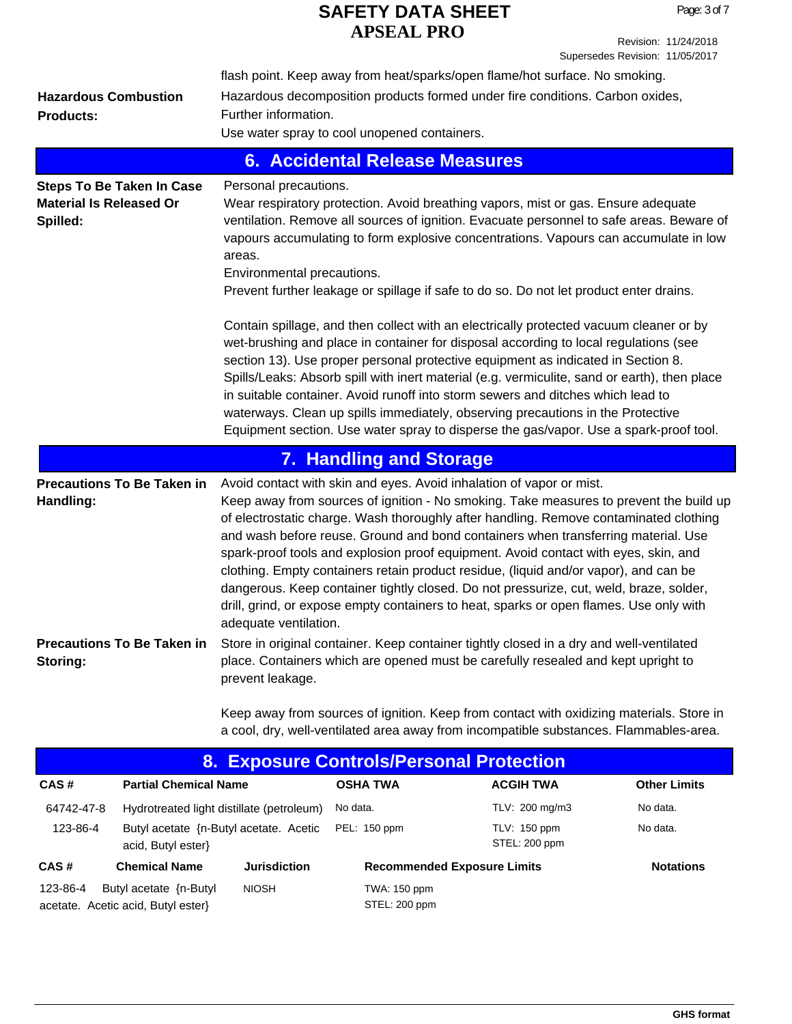Revision: 11/24/2018 Supersedes Revision: 11/05/2017

|                                                                                | flash point. Keep away from heat/sparks/open flame/hot surface. No smoking.                                                                                                                                                                                                                                                                                                                                                                                                                                                                                                                                                                                      |                  |                     |
|--------------------------------------------------------------------------------|------------------------------------------------------------------------------------------------------------------------------------------------------------------------------------------------------------------------------------------------------------------------------------------------------------------------------------------------------------------------------------------------------------------------------------------------------------------------------------------------------------------------------------------------------------------------------------------------------------------------------------------------------------------|------------------|---------------------|
| <b>Hazardous Combustion</b>                                                    | Hazardous decomposition products formed under fire conditions. Carbon oxides,                                                                                                                                                                                                                                                                                                                                                                                                                                                                                                                                                                                    |                  |                     |
| <b>Products:</b>                                                               | Further information.                                                                                                                                                                                                                                                                                                                                                                                                                                                                                                                                                                                                                                             |                  |                     |
|                                                                                | Use water spray to cool unopened containers.                                                                                                                                                                                                                                                                                                                                                                                                                                                                                                                                                                                                                     |                  |                     |
|                                                                                | <b>6. Accidental Release Measures</b>                                                                                                                                                                                                                                                                                                                                                                                                                                                                                                                                                                                                                            |                  |                     |
| <b>Steps To Be Taken In Case</b><br><b>Material Is Released Or</b><br>Spilled: | Personal precautions.<br>Wear respiratory protection. Avoid breathing vapors, mist or gas. Ensure adequate<br>ventilation. Remove all sources of ignition. Evacuate personnel to safe areas. Beware of<br>vapours accumulating to form explosive concentrations. Vapours can accumulate in low<br>areas.<br>Environmental precautions.<br>Prevent further leakage or spillage if safe to do so. Do not let product enter drains.                                                                                                                                                                                                                                 |                  |                     |
|                                                                                | Contain spillage, and then collect with an electrically protected vacuum cleaner or by<br>wet-brushing and place in container for disposal according to local regulations (see<br>section 13). Use proper personal protective equipment as indicated in Section 8.<br>Spills/Leaks: Absorb spill with inert material (e.g. vermiculite, sand or earth), then place<br>in suitable container. Avoid runoff into storm sewers and ditches which lead to<br>waterways. Clean up spills immediately, observing precautions in the Protective<br>Equipment section. Use water spray to disperse the gas/vapor. Use a spark-proof tool.                                |                  |                     |
|                                                                                | <b>7. Handling and Storage</b>                                                                                                                                                                                                                                                                                                                                                                                                                                                                                                                                                                                                                                   |                  |                     |
| <b>Precautions To Be Taken in</b>                                              | Avoid contact with skin and eyes. Avoid inhalation of vapor or mist.                                                                                                                                                                                                                                                                                                                                                                                                                                                                                                                                                                                             |                  |                     |
| Handling:                                                                      | Keep away from sources of ignition - No smoking. Take measures to prevent the build up<br>of electrostatic charge. Wash thoroughly after handling. Remove contaminated clothing<br>and wash before reuse. Ground and bond containers when transferring material. Use<br>spark-proof tools and explosion proof equipment. Avoid contact with eyes, skin, and<br>clothing. Empty containers retain product residue, (liquid and/or vapor), and can be<br>dangerous. Keep container tightly closed. Do not pressurize, cut, weld, braze, solder,<br>drill, grind, or expose empty containers to heat, sparks or open flames. Use only with<br>adequate ventilation. |                  |                     |
| Storing:                                                                       | Precautions To Be Taken in Store in original container. Keep container tightly closed in a dry and well-ventilated<br>place. Containers which are opened must be carefully resealed and kept upright to<br>prevent leakage.                                                                                                                                                                                                                                                                                                                                                                                                                                      |                  |                     |
|                                                                                | Keep away from sources of ignition. Keep from contact with oxidizing materials. Store in<br>a cool, dry, well-ventilated area away from incompatible substances. Flammables-area.                                                                                                                                                                                                                                                                                                                                                                                                                                                                                |                  |                     |
|                                                                                | 8. Exposure Controls/Personal Protection                                                                                                                                                                                                                                                                                                                                                                                                                                                                                                                                                                                                                         |                  |                     |
| <b>Partial Chemical Name</b><br>CAS#                                           | <b>OSHA TWA</b>                                                                                                                                                                                                                                                                                                                                                                                                                                                                                                                                                                                                                                                  | <b>ACGIH TWA</b> | <b>Other Limits</b> |

| CAS#       | <b>Partial Chemical Name</b>                                 |                     | <b>OSHA TWA</b>               | <b>ACGIH TWA</b>                   | <b>Other Limits</b> |
|------------|--------------------------------------------------------------|---------------------|-------------------------------|------------------------------------|---------------------|
| 64742-47-8 | Hydrotreated light distillate (petroleum)                    |                     | No data.                      | TLV: 200 mg/m3                     | No data.            |
| 123-86-4   | Butyl acetate {n-Butyl acetate. Acetic<br>acid, Butyl ester} |                     | PEL: 150 ppm                  | TLV: 150 ppm<br>STEL: 200 ppm      | No data.            |
| CAS#       | <b>Chemical Name</b>                                         | <b>Jurisdiction</b> |                               | <b>Recommended Exposure Limits</b> | <b>Notations</b>    |
| 123-86-4   | Butyl acetate {n-Butyl<br>acetate. Acetic acid, Butyl ester} | <b>NIOSH</b>        | TWA: 150 ppm<br>STEL: 200 ppm |                                    |                     |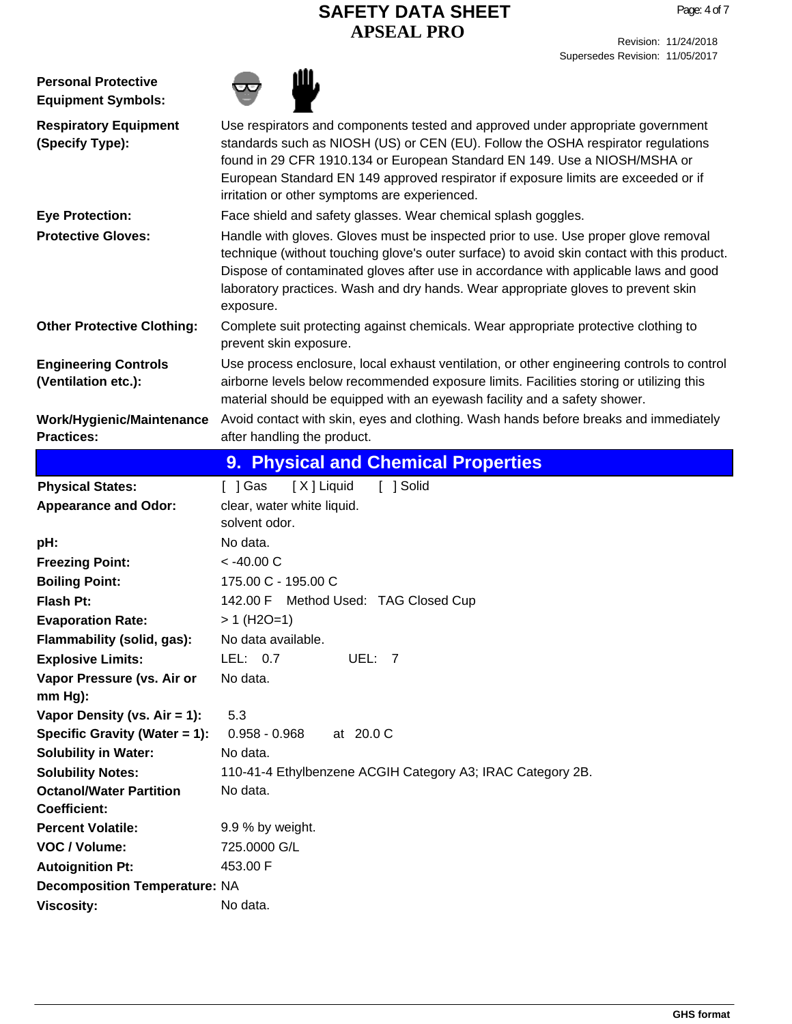| <b>Personal Protective</b><br><b>Equipment Symbols:</b> |                                                                                                                                                                                                                                                                                                                                                                                         |
|---------------------------------------------------------|-----------------------------------------------------------------------------------------------------------------------------------------------------------------------------------------------------------------------------------------------------------------------------------------------------------------------------------------------------------------------------------------|
| <b>Respiratory Equipment</b><br>(Specify Type):         | Use respirators and components tested and approved under appropriate government<br>standards such as NIOSH (US) or CEN (EU). Follow the OSHA respirator regulations<br>found in 29 CFR 1910.134 or European Standard EN 149. Use a NIOSH/MSHA or<br>European Standard EN 149 approved respirator if exposure limits are exceeded or if<br>irritation or other symptoms are experienced. |
| <b>Eye Protection:</b>                                  | Face shield and safety glasses. Wear chemical splash goggles.                                                                                                                                                                                                                                                                                                                           |
| <b>Protective Gloves:</b>                               | Handle with gloves. Gloves must be inspected prior to use. Use proper glove removal<br>technique (without touching glove's outer surface) to avoid skin contact with this product.<br>Dispose of contaminated gloves after use in accordance with applicable laws and good<br>laboratory practices. Wash and dry hands. Wear appropriate gloves to prevent skin<br>exposure.            |
| <b>Other Protective Clothing:</b>                       | Complete suit protecting against chemicals. Wear appropriate protective clothing to<br>prevent skin exposure.                                                                                                                                                                                                                                                                           |
| <b>Engineering Controls</b><br>(Ventilation etc.):      | Use process enclosure, local exhaust ventilation, or other engineering controls to control<br>airborne levels below recommended exposure limits. Facilities storing or utilizing this<br>material should be equipped with an eyewash facility and a safety shower.                                                                                                                      |
| Work/Hygienic/Maintenance<br><b>Practices:</b>          | Avoid contact with skin, eyes and clothing. Wash hands before breaks and immediately<br>after handling the product.                                                                                                                                                                                                                                                                     |
|                                                         | 9. Physical and Chemical Properties                                                                                                                                                                                                                                                                                                                                                     |
| <b>Physical States:</b>                                 | [X] Liquid<br>[ ] Gas<br>[ ] Solid                                                                                                                                                                                                                                                                                                                                                      |
| <b>Appearance and Odor:</b>                             | clear, water white liquid.<br>solvent odor.                                                                                                                                                                                                                                                                                                                                             |
| pH:                                                     | No data.                                                                                                                                                                                                                                                                                                                                                                                |
| <b>Freezing Point:</b>                                  | $< -40.00 C$                                                                                                                                                                                                                                                                                                                                                                            |
| <b>Boiling Point:</b>                                   | 175.00 C - 195.00 C                                                                                                                                                                                                                                                                                                                                                                     |
| <b>Flash Pt:</b>                                        | 142.00 F Method Used: TAG Closed Cup                                                                                                                                                                                                                                                                                                                                                    |
| <b>Evaporation Rate:</b>                                | $> 1$ (H2O=1)                                                                                                                                                                                                                                                                                                                                                                           |
| Flammability (solid, gas):                              | No data available.                                                                                                                                                                                                                                                                                                                                                                      |
| <b>Explosive Limits:</b>                                | LEL: $0.7$<br>UEL: 7                                                                                                                                                                                                                                                                                                                                                                    |
| Vapor Pressure (vs. Air or<br>$mm Hg$ ):                | No data.                                                                                                                                                                                                                                                                                                                                                                                |
| Vapor Density (vs. $Air = 1$ ):                         | 5.3                                                                                                                                                                                                                                                                                                                                                                                     |
| Specific Gravity (Water = 1):                           | $0.958 - 0.968$<br>at 20.0 C                                                                                                                                                                                                                                                                                                                                                            |
| <b>Solubility in Water:</b>                             | No data.                                                                                                                                                                                                                                                                                                                                                                                |
| <b>Solubility Notes:</b>                                | 110-41-4 Ethylbenzene ACGIH Category A3; IRAC Category 2B.                                                                                                                                                                                                                                                                                                                              |
| <b>Octanol/Water Partition</b><br><b>Coefficient:</b>   | No data.                                                                                                                                                                                                                                                                                                                                                                                |
| <b>Percent Volatile:</b>                                | 9.9 % by weight.                                                                                                                                                                                                                                                                                                                                                                        |
| VOC / Volume:                                           | 725.0000 G/L                                                                                                                                                                                                                                                                                                                                                                            |
| <b>Autoignition Pt:</b>                                 | 453.00 F                                                                                                                                                                                                                                                                                                                                                                                |
| <b>Decomposition Temperature: NA</b>                    |                                                                                                                                                                                                                                                                                                                                                                                         |
| <b>Viscosity:</b>                                       | No data.                                                                                                                                                                                                                                                                                                                                                                                |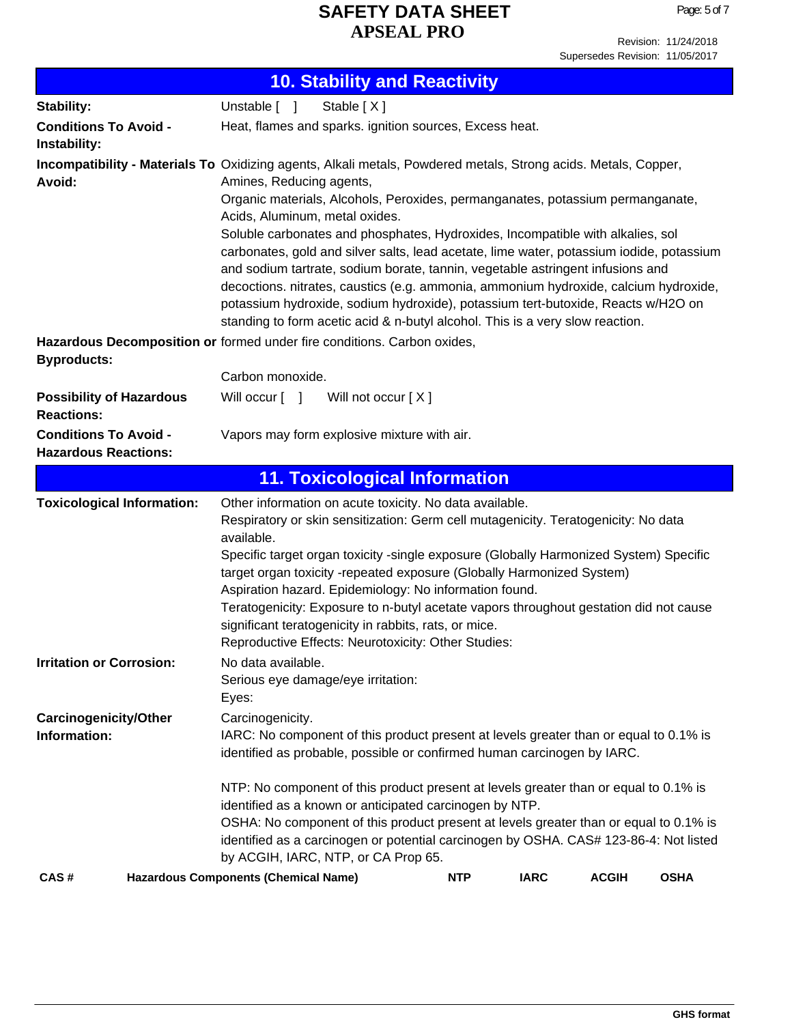Revision: 11/24/2018 Supersedes Revision: 11/05/2017

|                                                                                               | <b>10. Stability and Reactivity</b>                                                                                                                                                                                                                                                                                                                                                                                                                                                                                                                                                                                                                                                                                                                                                         |                                                                                                                                                                                                                                                                                                                                                                                                                                                                                                                                                                                    |  |            |             |              |             |
|-----------------------------------------------------------------------------------------------|---------------------------------------------------------------------------------------------------------------------------------------------------------------------------------------------------------------------------------------------------------------------------------------------------------------------------------------------------------------------------------------------------------------------------------------------------------------------------------------------------------------------------------------------------------------------------------------------------------------------------------------------------------------------------------------------------------------------------------------------------------------------------------------------|------------------------------------------------------------------------------------------------------------------------------------------------------------------------------------------------------------------------------------------------------------------------------------------------------------------------------------------------------------------------------------------------------------------------------------------------------------------------------------------------------------------------------------------------------------------------------------|--|------------|-------------|--------------|-------------|
| Stability:                                                                                    | Unstable [ ]                                                                                                                                                                                                                                                                                                                                                                                                                                                                                                                                                                                                                                                                                                                                                                                | Stable [X]                                                                                                                                                                                                                                                                                                                                                                                                                                                                                                                                                                         |  |            |             |              |             |
| <b>Conditions To Avoid -</b><br>Instability:                                                  |                                                                                                                                                                                                                                                                                                                                                                                                                                                                                                                                                                                                                                                                                                                                                                                             | Heat, flames and sparks. ignition sources, Excess heat.                                                                                                                                                                                                                                                                                                                                                                                                                                                                                                                            |  |            |             |              |             |
| Avoid:                                                                                        | Incompatibility - Materials To Oxidizing agents, Alkali metals, Powdered metals, Strong acids. Metals, Copper,<br>Amines, Reducing agents,<br>Organic materials, Alcohols, Peroxides, permanganates, potassium permanganate,<br>Acids, Aluminum, metal oxides.<br>Soluble carbonates and phosphates, Hydroxides, Incompatible with alkalies, sol<br>carbonates, gold and silver salts, lead acetate, lime water, potassium iodide, potassium<br>and sodium tartrate, sodium borate, tannin, vegetable astringent infusions and<br>decoctions. nitrates, caustics (e.g. ammonia, ammonium hydroxide, calcium hydroxide,<br>potassium hydroxide, sodium hydroxide), potassium tert-butoxide, Reacts w/H2O on<br>standing to form acetic acid & n-butyl alcohol. This is a very slow reaction. |                                                                                                                                                                                                                                                                                                                                                                                                                                                                                                                                                                                    |  |            |             |              |             |
| Hazardous Decomposition or formed under fire conditions. Carbon oxides,<br><b>Byproducts:</b> | Carbon monoxide.                                                                                                                                                                                                                                                                                                                                                                                                                                                                                                                                                                                                                                                                                                                                                                            |                                                                                                                                                                                                                                                                                                                                                                                                                                                                                                                                                                                    |  |            |             |              |             |
| <b>Possibility of Hazardous</b><br><b>Reactions:</b>                                          | Will occur [ ]                                                                                                                                                                                                                                                                                                                                                                                                                                                                                                                                                                                                                                                                                                                                                                              | Will not occur [X]                                                                                                                                                                                                                                                                                                                                                                                                                                                                                                                                                                 |  |            |             |              |             |
| <b>Conditions To Avoid -</b><br><b>Hazardous Reactions:</b>                                   |                                                                                                                                                                                                                                                                                                                                                                                                                                                                                                                                                                                                                                                                                                                                                                                             | Vapors may form explosive mixture with air.                                                                                                                                                                                                                                                                                                                                                                                                                                                                                                                                        |  |            |             |              |             |
|                                                                                               |                                                                                                                                                                                                                                                                                                                                                                                                                                                                                                                                                                                                                                                                                                                                                                                             | <b>11. Toxicological Information</b>                                                                                                                                                                                                                                                                                                                                                                                                                                                                                                                                               |  |            |             |              |             |
| <b>Toxicological Information:</b>                                                             | available.                                                                                                                                                                                                                                                                                                                                                                                                                                                                                                                                                                                                                                                                                                                                                                                  | Other information on acute toxicity. No data available.<br>Respiratory or skin sensitization: Germ cell mutagenicity. Teratogenicity: No data<br>Specific target organ toxicity -single exposure (Globally Harmonized System) Specific<br>target organ toxicity -repeated exposure (Globally Harmonized System)<br>Aspiration hazard. Epidemiology: No information found.<br>Teratogenicity: Exposure to n-butyl acetate vapors throughout gestation did not cause<br>significant teratogenicity in rabbits, rats, or mice.<br>Reproductive Effects: Neurotoxicity: Other Studies: |  |            |             |              |             |
| <b>Irritation or Corrosion:</b>                                                               | No data available.<br>Eyes:                                                                                                                                                                                                                                                                                                                                                                                                                                                                                                                                                                                                                                                                                                                                                                 | Serious eye damage/eye irritation:                                                                                                                                                                                                                                                                                                                                                                                                                                                                                                                                                 |  |            |             |              |             |
| <b>Carcinogenicity/Other</b><br>Information:                                                  | Carcinogenicity.<br>IARC: No component of this product present at levels greater than or equal to 0.1% is<br>identified as probable, possible or confirmed human carcinogen by IARC.                                                                                                                                                                                                                                                                                                                                                                                                                                                                                                                                                                                                        |                                                                                                                                                                                                                                                                                                                                                                                                                                                                                                                                                                                    |  |            |             |              |             |
|                                                                                               |                                                                                                                                                                                                                                                                                                                                                                                                                                                                                                                                                                                                                                                                                                                                                                                             | NTP: No component of this product present at levels greater than or equal to 0.1% is<br>identified as a known or anticipated carcinogen by NTP.<br>OSHA: No component of this product present at levels greater than or equal to 0.1% is<br>identified as a carcinogen or potential carcinogen by OSHA. CAS# 123-86-4: Not listed<br>by ACGIH, IARC, NTP, or CA Prop 65.                                                                                                                                                                                                           |  |            |             |              |             |
| <b>Hazardous Components (Chemical Name)</b><br>CAS#                                           |                                                                                                                                                                                                                                                                                                                                                                                                                                                                                                                                                                                                                                                                                                                                                                                             |                                                                                                                                                                                                                                                                                                                                                                                                                                                                                                                                                                                    |  | <b>NTP</b> | <b>IARC</b> | <b>ACGIH</b> | <b>OSHA</b> |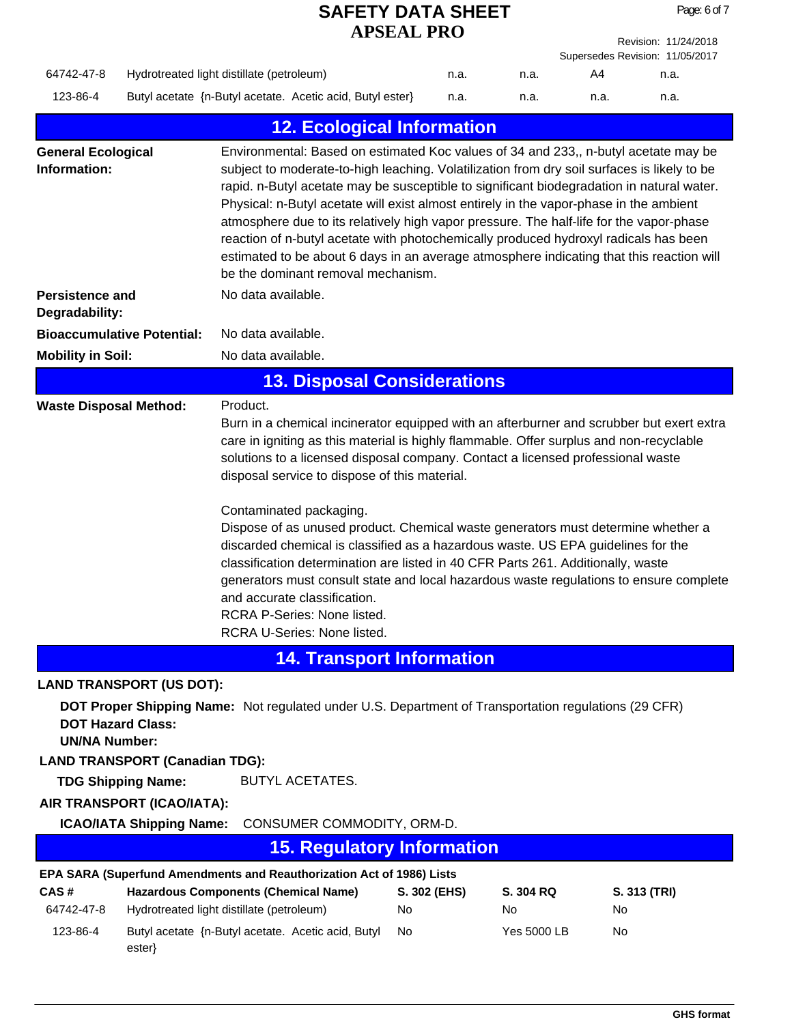|                                                                     |                                 |                                                                                                                                                                                                                                                                                                                                                                                                                                                                                                                                                                                                                                                                                                                      | APSEAL PRO               |                                              |           | Revision: 11/24/2018            |
|---------------------------------------------------------------------|---------------------------------|----------------------------------------------------------------------------------------------------------------------------------------------------------------------------------------------------------------------------------------------------------------------------------------------------------------------------------------------------------------------------------------------------------------------------------------------------------------------------------------------------------------------------------------------------------------------------------------------------------------------------------------------------------------------------------------------------------------------|--------------------------|----------------------------------------------|-----------|---------------------------------|
|                                                                     |                                 |                                                                                                                                                                                                                                                                                                                                                                                                                                                                                                                                                                                                                                                                                                                      |                          |                                              |           | Supersedes Revision: 11/05/2017 |
| 64742-47-8                                                          |                                 | Hydrotreated light distillate (petroleum)                                                                                                                                                                                                                                                                                                                                                                                                                                                                                                                                                                                                                                                                            | n.a.                     | n.a.                                         | A4        | n.a.                            |
| 123-86-4                                                            |                                 | Butyl acetate {n-Butyl acetate. Acetic acid, Butyl ester}                                                                                                                                                                                                                                                                                                                                                                                                                                                                                                                                                                                                                                                            | n.a.                     | n.a.                                         | n.a.      | n.a.                            |
|                                                                     |                                 | <b>12. Ecological Information</b>                                                                                                                                                                                                                                                                                                                                                                                                                                                                                                                                                                                                                                                                                    |                          |                                              |           |                                 |
| <b>General Ecological</b><br>Information:<br><b>Persistence and</b> |                                 | Environmental: Based on estimated Koc values of 34 and 233,, n-butyl acetate may be<br>subject to moderate-to-high leaching. Volatilization from dry soil surfaces is likely to be<br>rapid. n-Butyl acetate may be susceptible to significant biodegradation in natural water.<br>Physical: n-Butyl acetate will exist almost entirely in the vapor-phase in the ambient<br>atmosphere due to its relatively high vapor pressure. The half-life for the vapor-phase<br>reaction of n-butyl acetate with photochemically produced hydroxyl radicals has been<br>estimated to be about 6 days in an average atmosphere indicating that this reaction will<br>be the dominant removal mechanism.<br>No data available. |                          |                                              |           |                                 |
| Degradability:                                                      |                                 |                                                                                                                                                                                                                                                                                                                                                                                                                                                                                                                                                                                                                                                                                                                      |                          |                                              |           |                                 |
| <b>Bioaccumulative Potential:</b>                                   |                                 | No data available.                                                                                                                                                                                                                                                                                                                                                                                                                                                                                                                                                                                                                                                                                                   |                          |                                              |           |                                 |
| <b>Mobility in Soil:</b>                                            |                                 | No data available.                                                                                                                                                                                                                                                                                                                                                                                                                                                                                                                                                                                                                                                                                                   |                          |                                              |           |                                 |
|                                                                     |                                 | <b>13. Disposal Considerations</b>                                                                                                                                                                                                                                                                                                                                                                                                                                                                                                                                                                                                                                                                                   |                          |                                              |           |                                 |
| <b>Waste Disposal Method:</b>                                       |                                 | Product.<br>Burn in a chemical incinerator equipped with an afterburner and scrubber but exert extra<br>care in igniting as this material is highly flammable. Offer surplus and non-recyclable<br>solutions to a licensed disposal company. Contact a licensed professional waste<br>disposal service to dispose of this material.<br>Contaminated packaging.<br>Dispose of as unused product. Chemical waste generators must determine whether a                                                                                                                                                                                                                                                                   |                          |                                              |           |                                 |
|                                                                     |                                 | discarded chemical is classified as a hazardous waste. US EPA guidelines for the<br>classification determination are listed in 40 CFR Parts 261. Additionally, waste<br>generators must consult state and local hazardous waste regulations to ensure complete<br>and accurate classification.<br>RCRA P-Series: None listed.<br><b>RCRA U-Series: None listed.</b>                                                                                                                                                                                                                                                                                                                                                  |                          |                                              |           |                                 |
|                                                                     |                                 | <b>14. Transport Information</b>                                                                                                                                                                                                                                                                                                                                                                                                                                                                                                                                                                                                                                                                                     |                          |                                              |           |                                 |
| <b>LAND TRANSPORT (US DOT):</b>                                     |                                 |                                                                                                                                                                                                                                                                                                                                                                                                                                                                                                                                                                                                                                                                                                                      |                          |                                              |           |                                 |
| <b>DOT Hazard Class:</b><br><b>UN/NA Number:</b>                    |                                 | DOT Proper Shipping Name: Not regulated under U.S. Department of Transportation regulations (29 CFR)                                                                                                                                                                                                                                                                                                                                                                                                                                                                                                                                                                                                                 |                          |                                              |           |                                 |
| <b>LAND TRANSPORT (Canadian TDG):</b>                               |                                 |                                                                                                                                                                                                                                                                                                                                                                                                                                                                                                                                                                                                                                                                                                                      |                          |                                              |           |                                 |
|                                                                     | <b>TDG Shipping Name:</b>       | BUTYL ACETATES.                                                                                                                                                                                                                                                                                                                                                                                                                                                                                                                                                                                                                                                                                                      |                          |                                              |           |                                 |
| AIR TRANSPORT (ICAO/IATA):                                          | <b>ICAO/IATA Shipping Name:</b> | CONSUMER COMMODITY, ORM-D.                                                                                                                                                                                                                                                                                                                                                                                                                                                                                                                                                                                                                                                                                           |                          |                                              |           |                                 |
|                                                                     |                                 |                                                                                                                                                                                                                                                                                                                                                                                                                                                                                                                                                                                                                                                                                                                      |                          |                                              |           |                                 |
|                                                                     |                                 | <b>15. Regulatory Information</b>                                                                                                                                                                                                                                                                                                                                                                                                                                                                                                                                                                                                                                                                                    |                          |                                              |           |                                 |
| CAS#<br>64742-47-8<br>123-86-4                                      |                                 | EPA SARA (Superfund Amendments and Reauthorization Act of 1986) Lists<br><b>Hazardous Components (Chemical Name)</b><br>Hydrotreated light distillate (petroleum)<br>Butyl acetate {n-Butyl acetate. Acetic acid, Butyl                                                                                                                                                                                                                                                                                                                                                                                                                                                                                              | S. 302 (EHS)<br>No<br>No | <b>S. 304 RQ</b><br>No<br><b>Yes 5000 LB</b> | No<br>No. | S. 313 (TRI)                    |
|                                                                     | ester}                          |                                                                                                                                                                                                                                                                                                                                                                                                                                                                                                                                                                                                                                                                                                                      |                          |                                              |           |                                 |